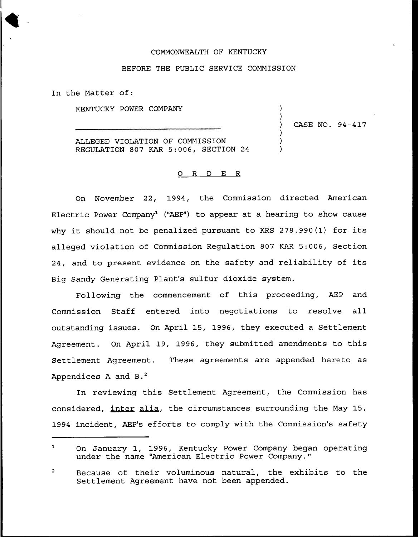## COMMONWEALTH OF KENTUCKY

### BEFORE THE PUBLIC SERVICE COMMISSION

In the Matter of:

KENTUCKY POWER COMPANY

ALLEGED VIOLATION OF COMMISSION REGULATION 807 KAR 5:006, SECTION 24 ) CASE NO. 94-417

) )

> ) ) )

## 0 R <sup>D</sup> E R

On November 22, 1994, the Commission directed American Electric Power Company<sup>1</sup> ("AEP") to appear at a hearing to show cause why it should not be penalized pursuant to KRS 278.990(1) for its alleged violation of Commission Regulation 807 KAR 5:006, Section 24, and to present evidence on the safety and reliability of its Big Sandy Generating Plant's sulfur dioxide system.

Following the commencement of this proceeding, AEP and Commission Staff entered into negotiations to resolve all outstanding issues. On April 15, 1996, they executed a Settlement Agreement. On April 19, 1996, they submitted amendments to this Settlement Agreement. These agreements are appended hereto as Appendices A and  $B.^2$ 

In reviewing this Settlement Agreement, the Commission has considered, inter alia, the circumstances surrounding the May 15, 1994 incident, AEP's efforts to comply with the Commission's safety

 $\mathbf{1}$ On January 1, 1996, Kentucky Power Company began operating under the name "American Electric Power Company."

 $\overline{\mathbf{c}}$ Because of their voluminous natural, the exhibits to the Settlement Agreement have not been appended.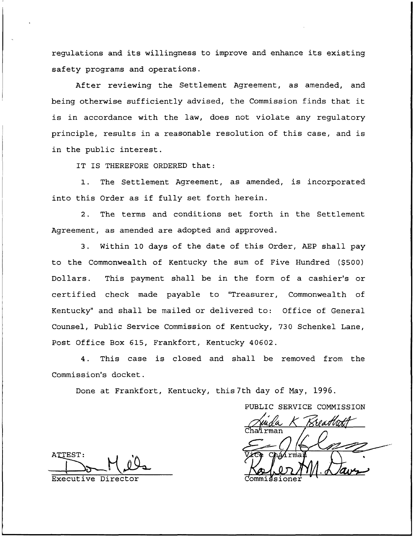regulations and its willingness to improve and enhance its existing safety programs and operations.

After reviewing the Settlement Agreement, as amended, and being otherwise sufficiently advised, the Commission finds that it is in accordance with the law, does not violate any regulatory principle, results in a reasonable resolution of this case, and is in the public interest.

IT IS THEREFORE ORDERED that:

1. The Settlement Agreement, as amended, is incorporated into this Order as if fully set forth herein.

2. The terms and conditions set forth in the Settlement Agreement, as amended are adopted and approved.

3. Within 10 days of the date of this Order, AEP shall pay to the Commonwealth of Kentucky the sum of Five Hundred (\$500) Dollars. This payment shall be in the form of a cashier's or certified check made payable to "Treasurer, Commonwealth of Kentucky" and shall be mailed or delivered to: Office of General Counsel, Public Service Commission of Kentucky, 730 Schenkel Lane, Post Office Box 615, Frankfort, Kentucky 40602.

4. This case is closed and shall be removed from the Commission's docket.

Done at Frankfort, Kentucky, this 7th day of May, 1996.

PUBLIC SERVICE COMMISSION <u>Chatirman</u>

ATTEST: M7

Executive Director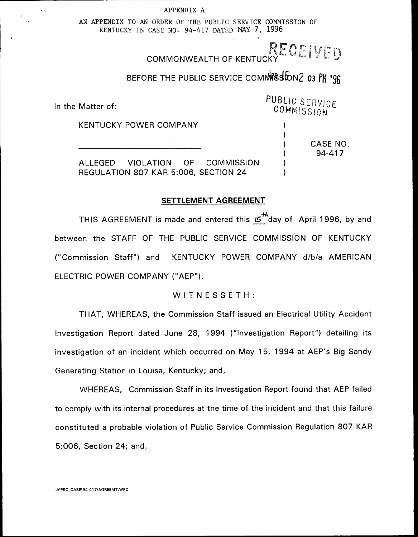APPENDIX A

AN APPENDIX TO AN ORDER OF THE PUBLIC SERVICE COMMISSION OF KENTUCKY IN CASE NO. 94-417 DATED NAY 7, 1996

COMMONWEALTH OF KENTUCKY COMMONWEALTH OF KENTUCKY

# BEFORE THE PUBLIC SERVICE COMMPS SIDN2 03 PM '96

In the Matter of:

KENTUCKY POWER COMPANY

CASE NO 94-417

PUBLIC SERVICE COMMISSION

> ) ) ) ) ) )

ALLEGED VIOLATION OF COMMISSION REGULATION 807 KAR 5:006, SECTION 24

# SETTLEMENT AGREEMENT

THIS AGREEMENT is made and entered this  $5<sup>+4</sup>$  day of April 1996, by and between the STAFF OF THE PUBLIC SERVICE COMMISSION OF KENTUCKY ("Commission Staff") and KENTUCKY POWER COMPANY d/b/a AMERICAN ELECTRIC POWER COMPANY ("AEP").

## WITNESSETH:

THAT, WHEREAS, the Commission Staff issued an Electrical Utility Accident Investigation Report dated June 28, 1994 ("Investigation Report") detailing its investigation of an incident which occurred on May 15, 1994 at AEP's Big Sandy Generating Station in Louisa, Kentucky; and,

WHEREAS, Commission Staff in its Investigation Report found that AEP failed to comply with its internal procedures at the time of the incident and that this failure constituted a probable violation of Public Service Commission Regulation 807 KAR 5:006, Section 24; and,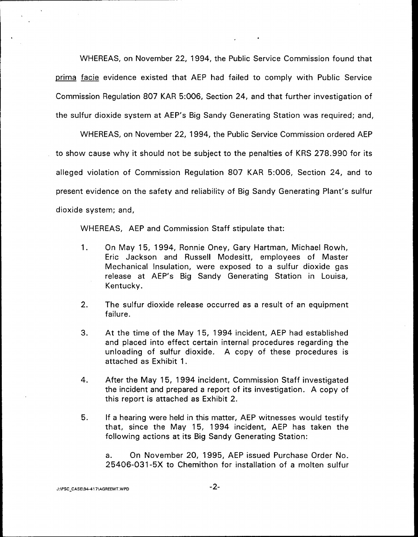WHEREAS, on November 22, 1994, the Public Service Commission found that Drima facie evidence existed that AEP had failed to comply with Public Service Commission Regulation 807 KAR 5:006, Section 24, and that further investigation of the sulfur dioxide system at AEP's Big Sandy Generating Station was required; and,

WHEREAS, on November 22, 1994, the Public Service Commission ordered AEP to show cause why it should not be subject to the penalties of KRS 278.990 for its alleged violation of Commission Regulation 807 KAR 5:006, Section 24, and to present evidence on the safety and reliability of Big Sandy Generating Plant's sulfur dioxide system; and,

WHEREAS, AEP and Commission Staff stipulate that:

- $1<sub>1</sub>$ On May 15, 1994, Bonnie Oney, Gary Hartman, Michael Rowh, Eric Jackson and Russell Modesitt, employees of Master Mechanical Insulation, were exposed to a sulfur dioxide gas release at AEP's Big Sandy Generating Station in Louisa, Kentucky.
- 2. The sulfur dioxide release occurred as a result of an equipment failure.
- 3. At the time of the May 15, 1994 incident, AEP had established and placed into effect certain internal procedures regarding the unloading of sulfur dioxide. A copy of these procedures is attached as Exhibit 1.
- 4. After the May 15, 1994 incident, Commission Staff investigated the incident and prepared a report of its investigation. A copy of this report is attached as Exhibit 2.
- If a hearing were held in this matter, AEP witnesses would testify 5. that, since the May 15, 1994 incident, AEP has taken the following actions at its Big Sandy Generating Station:

a. On November 20, 1995, AEP issued Purchase Order No. 25406-031-5X to Chemithon for installation of a molten sulfur

#### J:\PSC\_CASE\94-417\AGREEMT.WPD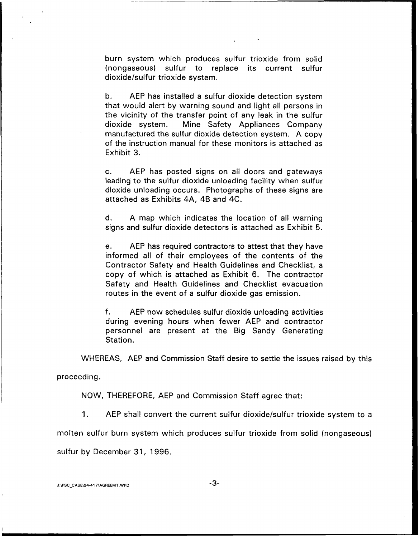burn system which produces sulfur trioxide from solid (nongaseous) sulfur to replace its current sulfur dioxide/sulfur trioxide system.

b. AEP has installed a sulfur dioxide detection system that would alert by warning sound and light all persons in the vicinity of the transfer point of any leak in the sulfur dioxide system. Mine Safety Appliances Company manufactured the sulfur dioxide detection system. A copy of the instruction manual for these monitors is attached as Exhibit 3.

c. AEP has posted signs on all doors and gateways leading to the sulfur dioxide unloading facility when sulfur dioxide unloading occurs. Photographs of these signs are attached as Exhibits 4A, 4B and 4C.

d. A map which indicates the location of all warning signs and sulfur dioxide detectors is attached as Exhibit 5.

e. AEP has required contractors to attest that they have informed all of their employees of the contents of the Contractor Safety and Health Guidelines and Checklist, a copy of which is attached as Exhibit 6. The contractor Safety and Health Guidelines and Checklist evacuation routes in the event of a sulfur dioxide gas emission.

f. AEP now schedules sulfur dioxide unloading activities during evening hours when fewer AEP and contractor personnel are present at the Big Sandy Generating Station.

WHEREAS, AEP and Commission Staff desire to settle the issues raised by this

proceeding.

NOW, THEREFORE, AEP and Commission Staff agree that:

 $1<sub>1</sub>$ AEP shall convert the current sulfur dioxide/sulfur trioxide system to a

molten sulfur burn system which produces sulfur trioxide from solid (nongaseous)

sulfur by December 31, 1996.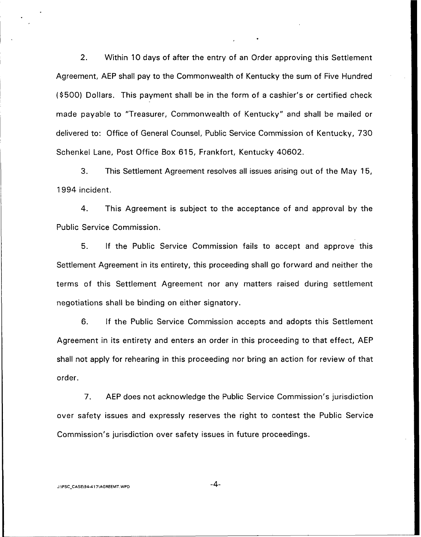2. Within 10 days of after the entry of an Order approving this Settlement Agreement, AEP shall pay to the Commonwealth of Kentucky the sum of Five Hundred (\$ 500) Dollars. This payment shall be in the form of a cashier's or certified check made payable to "Treasurer, Commonwealth of Kentucky" and shall be mailed or delivered to: Office of General Counsel, Public Service Commission of Kentucky, 730 Schenkel Lane, Post Office Box 615, Frankfort, Kentucky 40602.

3. This Settlement Agreement resolves all issues arising out of the May 15, 1994 incident.

4. This Agreement is subject to the acceptance of and approval by the Public Service Commission.

5. If the Public Service Commission fails to accept and approve this Settlement Agreement in its entirety, this proceeding shall go forward and neither the terms of this Settlement Agreement nor any matters raised during settlement negotiations shall be binding on either signatory.

6. If the Public Service Commission accepts and adopts this Settlement Agreement in its entirety and enters an order in this proceeding to that effect, AEP shall not apply for rehearing in this proceeding nor bring an action for review of that order.

7. AEP does not acknowledge the Public Service Commission's jurisdiction over safety issues and expressly reserves the right to contest the Public Service Commission's jurisdiction over safety issues in future proceedings.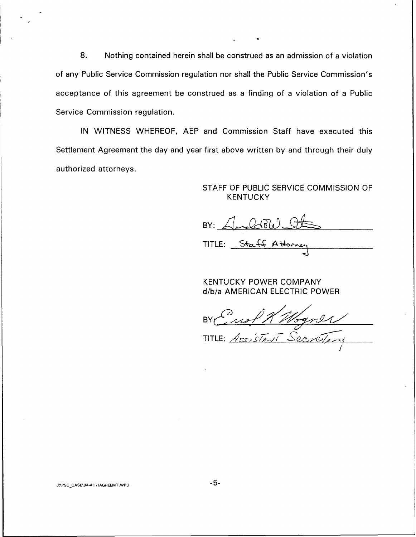8. Nothing contained herein shall be construed as an admission of a violation of any Public Service Commission regulation nor shall the Public Service Commission's acceptance of this agreement be construed as a finding of a violation of a Public Service Commission regulation.

IN WITNESS WHEREOF, AEP and Commission Staff have executed this Settlement Agreement the day and year first above written by and through their duly authorized attorneys.

# STAFF QF PUBLIC SERVICE COMMISSION OF KENTUCKY

BY: Analdow Ot

TITLE: Staff Attorney

KENTUCKY POWER COMPANY d/b/a AMERICAN ELECTRIC POWER

BY Caof RM ogner

J:\PSC\_CASE\94-417\AGREEMT.WPD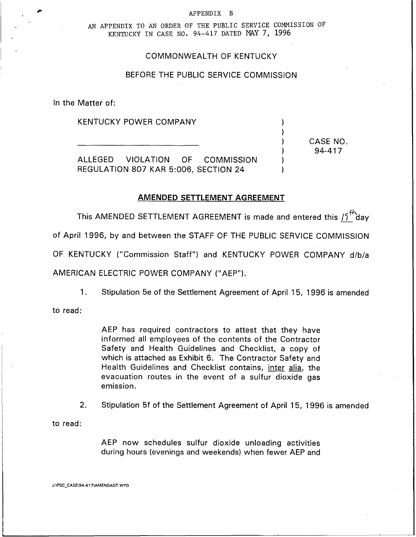#### APPENDIX B

AN APPENDIX TO AN ORDER OF THE PUBLIC SERVICE COMMISSION OF KENTUCKY IN CASE NO. 94-417 DATED MAY 7, 1996

# COMMONWEALTH OF KENTUCKY

# BEFORE THE PUBLIC SERVICE COMMISSION

In the Matter of:

KENTUCKY POWER COMPANY

ALLEGED VIOLATION OF COMMISSION REGULATION 807 KAR 5:006, SECTION 24

# AMENDED SETTLEMENT AGREEMENT

CASE NO. 94-417

1

This AMENDED SETTLEMENT AGREEMENT is made and entered this  $19^{44}$  day

of April 1996, by and between the STAFF OF THE PUBLIC SERVICE COMMISSION

OF KENTUCKY ("Commission Staff") and KENTUCKY POWER COMPANY d/b/a

AMERICAN ELECTRIC POWER COMPANY ("AEP").

Stipulation 5e of the Settlement Agreement of April 15, 1996 is amended  $1<sub>1</sub>$ 

to read:

AEP has required contractors to attest that they have informed all employees of the contents of the Contractor Safety and Health Guidelines and Checklist, a copy of which is attached as Exhibit 6. The Contractor Safety and Health Guidelines and Checklist contains, inter alia, the evacuation routes in the event of a sulfur dioxide gas emission.

2. Stipulation 5f of the Settlement Agreement of April 15, 1996 is amended

to read:

AEP now schedules sulfur dioxide unloading activities during hours (evenings and weekends) when fewer AEP and

J:\PSC\_CASE\94-417\AMENDAGT.WPD